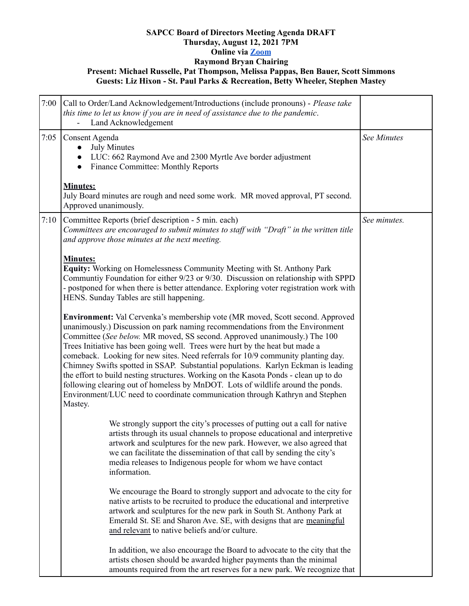## **SAPCC Board of Directors Meeting Agenda DRAFT Thursday, August 12, 2021 7PM Online via [Zoom](https://zoom.us/j/94313936880?pwd=MVVwU2xGTkJGVE1YM1g2Z2Z5UGhHdz09) Raymond Bryan Chairing Present: Michael Russelle, Pat Thompson, Melissa Pappas, Ben Bauer, Scott Simmons Guests: Liz Hixon - St. Paul Parks & Recreation, Betty Wheeler, Stephen Mastey**

| 7:00 | Call to Order/Land Acknowledgement/Introductions (include pronouns) - Please take<br>this time to let us know if you are in need of assistance due to the pandemic.<br>Land Acknowledgement                                                                                                                                                                                                                                                                                                                                                                                                                                                                                                                                                                               |                    |
|------|---------------------------------------------------------------------------------------------------------------------------------------------------------------------------------------------------------------------------------------------------------------------------------------------------------------------------------------------------------------------------------------------------------------------------------------------------------------------------------------------------------------------------------------------------------------------------------------------------------------------------------------------------------------------------------------------------------------------------------------------------------------------------|--------------------|
| 7:05 | Consent Agenda<br><b>July Minutes</b><br>LUC: 662 Raymond Ave and 2300 Myrtle Ave border adjustment<br><b>Finance Committee: Monthly Reports</b>                                                                                                                                                                                                                                                                                                                                                                                                                                                                                                                                                                                                                          | <b>See Minutes</b> |
|      | <b>Minutes:</b><br>July Board minutes are rough and need some work. MR moved approval, PT second.<br>Approved unanimously.                                                                                                                                                                                                                                                                                                                                                                                                                                                                                                                                                                                                                                                |                    |
| 7:10 | Committee Reports (brief description - 5 min. each)<br>Committees are encouraged to submit minutes to staff with "Draft" in the written title<br>and approve those minutes at the next meeting.                                                                                                                                                                                                                                                                                                                                                                                                                                                                                                                                                                           | See minutes.       |
|      | <b>Minutes:</b><br><b>Equity:</b> Working on Homelessness Community Meeting with St. Anthony Park<br>Communtiy Foundation for either 9/23 or 9/30. Discussion on relationship with SPPD<br>- postponed for when there is better attendance. Exploring voter registration work with<br>HENS. Sunday Tables are still happening.                                                                                                                                                                                                                                                                                                                                                                                                                                            |                    |
|      | Environment: Val Cervenka's membership vote (MR moved, Scott second. Approved<br>unanimously.) Discussion on park naming recommendations from the Environment<br>Committee (See below. MR moved, SS second. Approved unanimously.) The 100<br>Trees Initiative has been going well. Trees were hurt by the heat but made a<br>comeback. Looking for new sites. Need referrals for 10/9 community planting day.<br>Chimney Swifts spotted in SSAP. Substantial populations. Karlyn Eckman is leading<br>the effort to build nesting structures. Working on the Kasota Ponds - clean up to do<br>following clearing out of homeless by MnDOT. Lots of wildlife around the ponds.<br>Environment/LUC need to coordinate communication through Kathryn and Stephen<br>Mastey. |                    |
|      | We strongly support the city's processes of putting out a call for native<br>artists through its usual channels to propose educational and interpretive<br>artwork and sculptures for the new park. However, we also agreed that<br>we can facilitate the dissemination of that call by sending the city's<br>media releases to Indigenous people for whom we have contact<br>information.                                                                                                                                                                                                                                                                                                                                                                                |                    |
|      | We encourage the Board to strongly support and advocate to the city for<br>native artists to be recruited to produce the educational and interpretive<br>artwork and sculptures for the new park in South St. Anthony Park at<br>Emerald St. SE and Sharon Ave. SE, with designs that are meaningful<br>and relevant to native beliefs and/or culture.                                                                                                                                                                                                                                                                                                                                                                                                                    |                    |
|      | In addition, we also encourage the Board to advocate to the city that the<br>artists chosen should be awarded higher payments than the minimal<br>amounts required from the art reserves for a new park. We recognize that                                                                                                                                                                                                                                                                                                                                                                                                                                                                                                                                                |                    |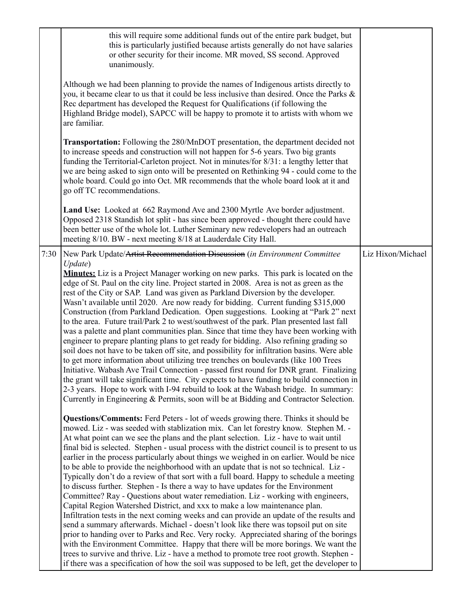|      | this will require some additional funds out of the entire park budget, but<br>this is particularly justified because artists generally do not have salaries<br>or other security for their income. MR moved, SS second. Approved<br>unanimously.<br>Although we had been planning to provide the names of Indigenous artists directly to<br>you, it became clear to us that it could be less inclusive than desired. Once the Parks &<br>Rec department has developed the Request for Qualifications (if following the<br>Highland Bridge model), SAPCC will be happy to promote it to artists with whom we<br>are familiar.<br><b>Transportation:</b> Following the 280/MnDOT presentation, the department decided not<br>to increase speeds and construction will not happen for 5-6 years. Two big grants<br>funding the Territorial-Carleton project. Not in minutes/for 8/31: a lengthy letter that<br>we are being asked to sign onto will be presented on Rethinking 94 - could come to the<br>whole board. Could go into Oct. MR recommends that the whole board look at it and<br>go off TC recommendations.<br>Land Use: Looked at 662 Raymond Ave and 2300 Myrtle Ave border adjustment.<br>Opposed 2318 Standish lot split - has since been approved - thought there could have<br>been better use of the whole lot. Luther Seminary new redevelopers had an outreach<br>meeting 8/10. BW - next meeting 8/18 at Lauderdale City Hall.                                                                                                                                                                                                                                                                                                                                                                                                                                                                                                                                                                                                                                                                                                                                                                                                                                                                                                                                                                                                                                                                                                                                                                                                                                                                                                                                                                                                                   |                   |
|------|----------------------------------------------------------------------------------------------------------------------------------------------------------------------------------------------------------------------------------------------------------------------------------------------------------------------------------------------------------------------------------------------------------------------------------------------------------------------------------------------------------------------------------------------------------------------------------------------------------------------------------------------------------------------------------------------------------------------------------------------------------------------------------------------------------------------------------------------------------------------------------------------------------------------------------------------------------------------------------------------------------------------------------------------------------------------------------------------------------------------------------------------------------------------------------------------------------------------------------------------------------------------------------------------------------------------------------------------------------------------------------------------------------------------------------------------------------------------------------------------------------------------------------------------------------------------------------------------------------------------------------------------------------------------------------------------------------------------------------------------------------------------------------------------------------------------------------------------------------------------------------------------------------------------------------------------------------------------------------------------------------------------------------------------------------------------------------------------------------------------------------------------------------------------------------------------------------------------------------------------------------------------------------------------------------------------------------------------------------------------------------------------------------------------------------------------------------------------------------------------------------------------------------------------------------------------------------------------------------------------------------------------------------------------------------------------------------------------------------------------------------------------------------------------------------------------------------------------------------------------|-------------------|
| 7:30 | New Park Update/Artist Recommendation Discussion (in Environment Committee<br>Update)<br><b>Minutes:</b> Liz is a Project Manager working on new parks. This park is located on the<br>edge of St. Paul on the city line. Project started in 2008. Area is not as green as the<br>rest of the City or SAP. Land was given as Parkland Diversion by the developer.<br>Wasn't available until 2020. Are now ready for bidding. Current funding \$315,000<br>Construction (from Parkland Dedication. Open suggestions. Looking at "Park 2" next<br>to the area. Future trail/Park 2 to west/southwest of the park. Plan presented last fall<br>was a palette and plant communities plan. Since that time they have been working with<br>engineer to prepare planting plans to get ready for bidding. Also refining grading so<br>soil does not have to be taken off site, and possibility for infiltration basins. Were able<br>to get more information about utilizing tree trenches on boulevards (like 100 Trees<br>Initiative. Wabash Ave Trail Connection - passed first round for DNR grant. Finalizing<br>the grant will take significant time. City expects to have funding to build connection in<br>2-3 years. Hope to work with I-94 rebuild to look at the Wabash bridge. In summary:<br>Currently in Engineering & Permits, soon will be at Bidding and Contractor Selection.<br><b>Questions/Comments:</b> Ferd Peters - lot of weeds growing there. Thinks it should be<br>mowed. Liz - was seeded with stablization mix. Can let forestry know. Stephen M. -<br>At what point can we see the plans and the plant selection. Liz - have to wait until<br>final bid is selected. Stephen - usual process with the district council is to present to us<br>earlier in the process particularly about things we weighed in on earlier. Would be nice<br>to be able to provide the neighborhood with an update that is not so technical. Liz-<br>Typically don't do a review of that sort with a full board. Happy to schedule a meeting<br>to discuss further. Stephen - Is there a way to have updates for the Environment<br>Committee? Ray - Questions about water remediation. Liz - working with engineers,<br>Capital Region Watershed District, and xxx to make a low maintenance plan.<br>Infiltration tests in the next coming weeks and can provide an update of the results and<br>send a summary afterwards. Michael - doesn't look like there was topsoil put on site<br>prior to handing over to Parks and Rec. Very rocky. Appreciated sharing of the borings<br>with the Environment Committee. Happy that there will be more borings. We want the<br>trees to survive and thrive. Liz - have a method to promote tree root growth. Stephen -<br>if there was a specification of how the soil was supposed to be left, get the developer to | Liz Hixon/Michael |